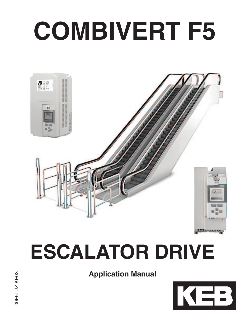# **COMBIVERT F5**



## **ESCALATOR DRIVE**

**Application Manual**

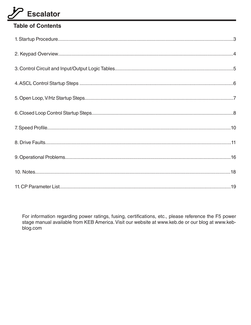#### **Table of Contents**

For information regarding power ratings, fusing, certifications, etc., please reference the F5 power stage manual available from KEB America. Visit our website at www.keb.de or our blog at www.kebblog.com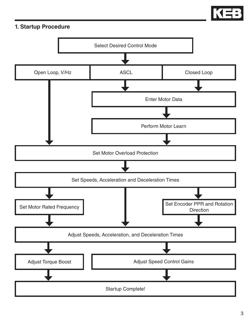

#### **1. Startup Procedure**

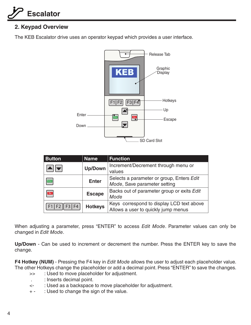#### **2. Keypad Overview**

The KEB Escalator drive uses an operator keypad which provides a user interface.



| <b>Button</b> | <b>Name</b>    | <b>Function</b>                                                                  |
|---------------|----------------|----------------------------------------------------------------------------------|
|               | <b>Up/Down</b> | Increment/Decrement through menu or<br>values                                    |
| <b>Enter</b>  | <b>Enter</b>   | Selects a parameter or group, Enters Edit<br>Mode, Save parameter setting        |
| Esc           | <b>Escape</b>  | Backs out of parameter group or exits Edit<br>Mode                               |
| F1 F2  F3 F4  | <b>Hotkeys</b> | Keys correspond to display LCD text above<br>Allows a user to quickly jump menus |

When adjusting a parameter, press "ENTER" to access Edit Mode. Parameter values can only be changed in Edit Mode.

**Up/Down** - Can be used to increment or decrement the number. Press the ENTER key to save the change.

**F4 Hotkey (NUM)** - Pressing the F4 key in *Edit Mode* allows the user to adjust each placeholder value. The other Hotkeys change the placeholder or add a decimal point. Press "ENTER" to save the changes.

- >> : Used to move placeholder for adjustment.
- . : Inserts decimal point.
- <- : Used as a backspace to move placeholder for adjustment.
- + : Used to change the sign of the value.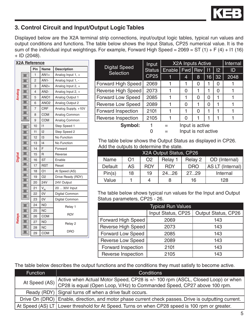

#### **3. Control Circuit and Input/Output Logic Tables**

Displayed below are the X2A terminal strip connections, input/output logic tables, typical run values and output conditions and functions. The table below shows the Input Status, CP25 numerical value. It is the sum of the individual input weightings. For example, Forward High Speed =  $2069 = ST(1) + F(4) + I1(16)$  $+$  ID (2048).

|         | <b>X2A Reference</b> |                |                    |                     |   |  |
|---------|----------------------|----------------|--------------------|---------------------|---|--|
|         |                      | Pin            | <b>Name</b>        | <b>Description</b>  |   |  |
|         |                      | 1              | $AN1+$             | Analog Input 1, +   |   |  |
|         |                      | $\overline{2}$ | <b>AN1-</b>        | Analog Input 1, -   |   |  |
|         |                      | 3              | $AN2+$             | Analog Input 2, +   | F |  |
|         |                      | 4              | AN2-               | Analog Input 2, +   | F |  |
| Analog  |                      | 5              | ANO <sub>1</sub>   | Analog Output 1     | F |  |
|         |                      | 6              | ANO <sub>2</sub>   | Analog Output 2     | F |  |
|         |                      | $\overline{7}$ | CRF                | Analog Supply, +10V | F |  |
|         |                      | 8              | COM                | Analog Common       |   |  |
|         |                      | 9              | <b>COM</b>         | Analog Common       | F |  |
|         |                      | 10             | 1                  | Step Speed 1        |   |  |
|         |                      | 11             | 12                 | Step Speed 2        |   |  |
|         |                      | 12             | 13                 | No Function         |   |  |
|         | т                    | 13             | 4                  | No Function         |   |  |
|         |                      | 14             | F                  | Forward             |   |  |
|         |                      | 15             | R                  | Reverse             |   |  |
| Digital |                      | 16             | <b>ST</b>          | Enable              |   |  |
|         |                      | 17             | <b>RST</b>         | Reset               |   |  |
|         |                      | 18             | O <sub>1</sub>     | At Speed (AS)       |   |  |
|         |                      | 19             | O <sub>2</sub>     | Drive Ready (RDY)   |   |  |
|         |                      | 20             | <b>24V</b>         | 24V Output          |   |  |
|         |                      | 21             | $V_{\frac{IN}{N}}$ | 20  30V Input       |   |  |
|         |                      | 22             | 0V                 | Digital Common      |   |  |
|         |                      | 23             | 0V                 | Digital Common      |   |  |
|         |                      | 24             | <b>NO</b>          | Relay 1             |   |  |
|         |                      | 25             | <b>NC</b>          |                     |   |  |
| Relays  |                      | 26             | COM                | <b>RDY</b>          |   |  |
|         |                      | 27             | <b>NO</b>          | Relay 2             |   |  |
|         |                      | 28             | <b>NC</b>          |                     |   |  |
|         |                      | 29             | COM                | <b>DRO</b>          |   |  |

|                                          | Input         | <b>X2A Inputs Active</b> |                     |   |    |    | Internal |
|------------------------------------------|---------------|--------------------------|---------------------|---|----|----|----------|
| <b>Digital Speed</b><br><b>Selection</b> | <b>Status</b> | Enable                   | Fwd   Rev           |   | 11 | 12 | ID       |
|                                          | <b>CP25</b>   | 1                        | 4                   | 8 | 16 | 32 | 2048     |
| <b>Forward High Speed</b>                | 2069          |                          | 1                   | Ω |    | O  |          |
| <b>Reverse High Speed</b>                | 2073          |                          | 0                   |   |    | 0  |          |
| <b>Forward Low Speed</b>                 | 2085          |                          | 1                   | 0 | 0  |    |          |
| <b>Reverse Low Speed</b>                 | 2089          |                          | 0                   | 1 | 0  |    |          |
| Forward Inspection                       | 2101          |                          | 1                   | 0 |    |    |          |
| Reverse Inspection                       | 2105          |                          | 0                   |   |    |    |          |
| Symbol:                                  |               | $=$                      | Input is active     |   |    |    |          |
|                                          | 0             |                          | Input is not active |   |    |    |          |

The table below shows the Output Status as displayed in CP26. Add the outputs to determine the state.

|         | X2A Output Status, CP26 |            |            |            |                         |  |
|---------|-------------------------|------------|------------|------------|-------------------------|--|
| Name    | O1                      | O2         | Relay 1    | Relay 2    | OD (Internal)           |  |
| Default | AS                      | <b>RDY</b> | <b>RDY</b> | <b>DRO</b> | <b>AS LT (Internal)</b> |  |
| Pin(s)  | 18                      | 19         | 2426       | 2729       | Internal                |  |
| Value   |                         | 4          |            | 16         | 128                     |  |

The table below shows typical run values for the Input and Output Status parameters, CP25 - 26.

| <b>Typical Run Values</b> |                    |                     |  |  |  |  |
|---------------------------|--------------------|---------------------|--|--|--|--|
|                           | Input Status, CP25 | Output Status, CP26 |  |  |  |  |
| <b>Forward High Speed</b> | 2069               | 143                 |  |  |  |  |
| Reverse High Speed        | 2073               | 143                 |  |  |  |  |
| <b>Forward Low Speed</b>  | 2085               | 143                 |  |  |  |  |
| <b>Reverse Low Speed</b>  | 2089               | 143                 |  |  |  |  |
| Forward Inspection        | 2101               | 143                 |  |  |  |  |
| Reverse Inspection        | 2105               | 143                 |  |  |  |  |

The table below describes the output functions and the conditions they must satisfy to become active.

| <b>Function</b> | <b>Conditions</b>                                                                                    |
|-----------------|------------------------------------------------------------------------------------------------------|
|                 | Active when Actual Motor Speed, CP28 is +/- 100 rpm (ASCL, Closed Loop) or when                      |
|                 | At Speed (AS) CP28 is equal (Open Loop, V/Hz) to Commanded Speed, CP27 above 100 rpm.                |
|                 | Ready (RDY) Signal turns off when a drive fault occurs.                                              |
|                 | Drive On (DRO) Enable, direction, and motor phase current check passes. Drive is outputting current. |
|                 | At Speed (AS) LT   Lower threshold for At Speed. Turns on when CP28 speed is 100 rpm or greater.     |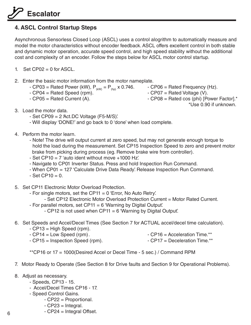#### **4. ASCL Control Startup Steps**

Asynchronous Sensorless Closed Loop (ASCL) uses a control alogrithm to automatically measure and model the motor characteristics without encoder feedback. ASCL offers excellent control in both stable and dynamic motor operation, accurate speed control, and high speed stability without the additional cost and complexity of an encoder. Follow the steps below for ASCL motor control startup.

- 1. Set CP02 = 0 for ASCL.
- 2. Enter the basic motor information from the motor nameplate.
	- CP03 = Rated Power (kW),  $P_{(kW)} = P_{(hp)} \times 0.746$ . CP06 = Rated Frequency (Hz).<br>- CP07 = Rated Voltage (V).
	- $-$  CP04 = Rated Speed (rpm).
	-
- 
- 
- CP05 = Rated Current (A).  $\overline{P}$  CP08 = Rated cos (phi) [Power Factor].\*
	- \*Use 0.90 if unknown.
- 3. Load the motor data.
	- $-$  Set CP09 = 2 'Act.DC Voltage (F5-M/S)'.
	- Will display 'DONE!' and go back to 0 'done' when load complete.
- 4. Perform the motor learn.
	- Note! The drive will output current at zero speed, but may not generate enough torque to hold the load during the measurement. Set CP15 Inspection Speed to zero and prevent motor brake from picking during process (eg. Remove brake wire from controller).
	- Set CP10 =  $7$  'auto ident without move  $+1000$  Hz'.
	- Navigate to CP01 Inverter Status. Press and hold Inspection Run Command.
	- When CP01 = 127 'Calculate Drive Data Ready'. Release Inspection Run Command.
	- $-$  Set CP10 = 0.
- 5. Set CP11 Electronic Motor Overload Protection.
	- For single motors, set the CP11 = 0 'Error, No Auto Retry'.
		- Set CP12 Electronic Motor Overload Protection Current = Motor Rated Current.
	- For parallel motors, set CP11 = 6 'Warning by Digital Output'.
		- $-$  CP12 is not used when CP11 = 6 'Warning by Digital Output'.
- 6. Set Speeds and Accel/Decel Times (See Section 7 for ACTUAL accel/decel time calculation).
	- CP13 = High Speed (rpm).
	- CP14 = Low Speed (rpm).
	- CP15 = Inspection Speed (rpm).  $CP17 = Deceleration Time.*$
- -

\*\*CP16 or 17 = 1000(Desired Accel or Decel Time - 5 sec.) / Command RPM

- 7. Motor Ready to Operate (See Section 8 for Drive faults and Section 9 for Operational Problems).
- 8. Adjust as necessary.
	- Speeds, CP13 15.
	- Accel/Decel Times CP16 17.
	- Speed Control Gains.
		- CP22 = Proportional.
		- CP23 = Integral.
		- CP24 = Integral Offset.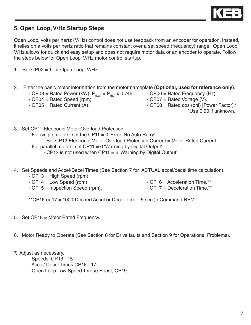

#### **5. Open Loop, V/Hz Startup Steps**

Open Loop, volts per hertz (V/Hz) control does not use feedback from an encoder for operation. Instead, it relies on a volts per hertz ratio that remains constant over a set speed (frequency) range. Open Loop, V/Hz allows for quick and easy setup and does not require motor data or an encoder to operate. Follow the steps below for Open Loop, V/Hz motor control startup.

- 1. Set  $CP02 = 1$  for Open Loop, V/Hz.
- 2. Enter the basic motor information from the motor nameplate **(Optional, used for reference only)**.
	-
	- $-$  CP04 = Rated Speed (rpm).
	-
	- CP03 = Rated Power (kW),  $P_{(kW)} = P_{(hp)} \times 0.746$ . CP06 = Rated Frequency (Hz).<br>- CP07 = Rated Voltage (V).
	- $-$  CP05 = Rated Current (A).  $\overline{P}$  CP08 = Rated cos (phi) [Power Factor].\* \*Use 0.90 if unknown.
- 3. Set CP11 Electronic Motor Overload Protection.
	- $-$  For single motors, set the CP11 = 0 'Error, No Auto Retry'.
		- Set CP12 Electronic Motor Overload Protection Current = Motor Rated Current.
	- For parallel motors, set  $CP11 = 6$  'Warning by Digital Output'.
		- $-$  CP12 is not used when CP11 = 6 'Warning by Digital Output'.
- 4. Set Speeds and Accel/Decel Times (See Section 7 for ACTUAL accel/decel time calculation).
	- CP13 = High Speed (rpm).
	-
	- CP15 = Inspection Speed (rpm).  $CP17 = Deceleration Time.*$
	- CP14 = Low Speed (rpm).  $\overline{CP16}$  CP16 = Acceleration Time.\*\*
		-

\*\*CP16 or 17 = 1000(Desired Accel or Decel Time - 5 sec.) / Command RPM

- 5. Set CP18 = Motor Rated Frequency.
- 6. Motor Ready to Operate (See Section 8 for Drive faults and Section 9 for Operational Problems).
- 7. Adjust as necessary.
	- Speeds, CP13 15.
	- Accel/ Decel Times CP16 17.
	- Open Loop Low Speed Torque Boost, CP19.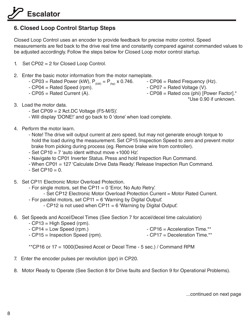#### **6. Closed Loop Control Startup Steps**

Closed Loop Control uses an encoder to provide feedback for precise motor control. Speed measurements are fed back to the drive real time and constantly compared against commanded values to be adjusted accordingly. Follow the steps below for Closed Loop motor control startup.

- 1. Set CP02 = 2 for Closed Loop Control.
- 2. Enter the basic motor information from the motor nameplate.
- CP03 = Rated Power (kW),  $P_{(kW)} = P_{(hp)}$  x 0.746. CP06 = Rated Frequency (Hz).
- CP04 = Rated Speed (rpm).  $\qquad \qquad$  CP07 = Rated Voltage (V).
	-
- 
- 
- CP05 = Rated Current (A).  $\qquad \qquad$  CP08 = Rated cos (phi) [Power Factor].\*

\*Use 0.90 if unknown.

- 3. Load the motor data.
	- Set CP09 = 2 'Act.DC Voltage (F5-M/S)'.
	- Will display 'DONE!' and go back to 0 'done' when load complete.
- 4. Perform the motor learn.
	- Note! The drive will output current at zero speed, but may not generate enough torque to hold the load during the measurement. Set CP15 Inspection Speed to zero and prevent motor brake from picking during process (eg. Remove brake wire from controller).
	- Set CP10 = 7 'auto ident without move +1000 Hz'.
	- Navigate to CP01 Inverter Status. Press and hold Inspection Run Command.
	- When CP01 = 127 'Calculate Drive Data Ready'. Release Inspection Run Command.
	- $-$  Set CP10 = 0.
- 5. Set CP11 Electronic Motor Overload Protection.
	- For single motors, set the CP11 = 0 'Error, No Auto Retry'.
		- Set CP12 Electronic Motor Overload Protection Current = Motor Rated Current.
	- For parallel motors, set CP11 = 6 'Warning by Digital Output'.
		- $-$  CP12 is not used when CP11 = 6 'Warning by Digital Output'.
- 6. Set Speeds and Accel/Decel Times (See Section 7 for accel/decel time calculation)
	- CP13 = High Speed (rpm).
	- CP14 = Low Speed (rpm.)  $\overline{CP16}$  CP16 = Acceleration Time.\*\*
		-
- 
- CP15 = Inspection Speed (rpm).  $CP17 = Deceleration Time.*$

\*\*CP16 or 17 = 1000(Desired Accel or Decel Time - 5 sec.) / Command RPM

- 7. Enter the encoder pulses per revolution (ppr) in CP20.
- 8. Motor Ready to Operate (See Section 8 for Drive faults and Section 9 for Operational Problems).

...continued on next page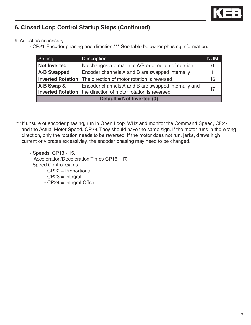

#### **6. Closed Loop Control Startup Steps (Continued)**

9. Adjust as necessary

- CP21 Encoder phasing and direction.\*\*\* See table below for phasing information.

| Setting:                                                                                                                                    | Description:<br><b>NUM</b>                          |    |  |  |
|---------------------------------------------------------------------------------------------------------------------------------------------|-----------------------------------------------------|----|--|--|
| <b>Not Inverted</b>                                                                                                                         | No changes are made to A/B or direction of rotation |    |  |  |
| <b>A-B Swapped</b>                                                                                                                          | Encoder channels A and B are swapped internally     |    |  |  |
| <b>Inverted Rotation</b> The direction of motor rotation is reversed                                                                        |                                                     | 16 |  |  |
| A-B Swap &<br>Encoder channels A and B are swapped internally and<br><b>Inverted Rotation</b>   the direction of motor rotation is reversed |                                                     | 17 |  |  |
| Default = Not Inverted (0)                                                                                                                  |                                                     |    |  |  |

- \*\*\*If unsure of encoder phasing, run in Open Loop, V/Hz and monitor the Command Speed, CP27 and the Actual Motor Speed, CP28. They should have the same sign. If the motor runs in the wrong direction, only the rotation needs to be reversed. If the motor does not run, jerks, draws high current or vibrates excessivley, the encoder phasing may need to be changed.
	- Speeds, CP13 15.
	- Acceleration/Deceleration Times CP16 17.
	- Speed Control Gains.
		- CP22 = Proportional.
		- CP23 = Integral.
		- CP24 = Integral Offset.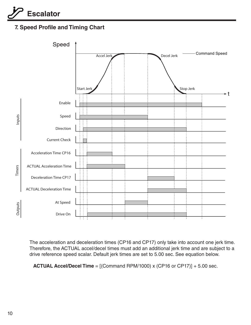#### **7. Speed Profile and Timing Chart**



 The acceleration and deceleration times (CP16 and CP17) only take into account one jerk time. Therefore, the ACTUAL accel/decel times must add an additional jerk time and are subject to a drive reference speed scalar. Default jerk times are set to 5.00 sec. See equation below.

**ACTUAL Accel/Decel Time** = [(Command RPM/1000) x (CP16 or CP17)] + 5.00 sec.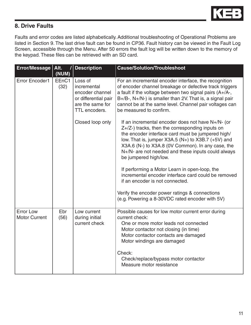

#### **8. Drive Faults**

Faults and error codes are listed alphabetically. Additional troubleshooting of Operational Problems are listed in Section 9. The last drive fault can be found in CP36. Fault history can be viewed in the Fault Log Screen, accessible through the Menu. After 50 errors the fault log will be written down to the memory of the keypad. These files can be retrieved with an SD card.

| <b>Error/Message</b>                     | Alt.<br>(NUM) | <b>Description</b>                                                                                     | <b>Cause/Solution/Troubleshoot</b>                                                                                                                                                                                                                                                                                                                    |
|------------------------------------------|---------------|--------------------------------------------------------------------------------------------------------|-------------------------------------------------------------------------------------------------------------------------------------------------------------------------------------------------------------------------------------------------------------------------------------------------------------------------------------------------------|
| <b>Error Encoder1</b>                    | EEnC1<br>(32) | Loss of<br>incremental<br>encoder channel<br>or differential pair<br>are the same for<br>TTL encoders. | For an incremental encoder interface, the recognition<br>of encoder channel breakage or defective track triggers<br>a fault if the voltage between two signal pairs $(A+/A-,$<br>$B+/B-$ , $N+/N-$ ) is smaller than 2V. That is, a signal pair<br>cannot be at the same level. Channel pair voltages can<br>be measured to confirm.                  |
|                                          |               | Closed loop only                                                                                       | If an incremental encoder does not have N+/N- (or<br>Z+/Z-) tracks, then the corresponding inputs on<br>the encoder interface card must be jumpered high/<br>low. That is, jumper $X3A.5(N+)$ to $X3B.7(+5V)$ and<br>X3A.6 (N-) to X3A.8 (0V Common). In any case, the<br>N+/N- are not needed and these inputs could always<br>be jumpered high/low. |
|                                          |               |                                                                                                        | If performing a Motor Learn in open-loop, the<br>incremental encoder interface card could be removed<br>if an encoder is not connected.                                                                                                                                                                                                               |
|                                          |               |                                                                                                        | Verify the encoder power ratings & connections<br>(e.g. Powering a 8-30VDC rated encoder with 5V)                                                                                                                                                                                                                                                     |
| <b>Error Low</b><br><b>Motor Current</b> | Ebr<br>(56)   | Low current<br>during initial<br>current check                                                         | Possible causes for low motor current error during<br>current check:<br>One or more motor leads not connected<br>Motor contactor not closing (in time)<br>Motor contactor contacts are damaged<br>Motor windings are damaged<br>Check:<br>Check/replace/bypass motor contactor<br>Measure motor resistance                                            |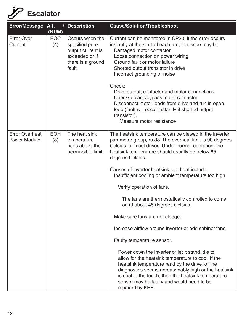| Error/Message   Alt.                         | I<br>(NUM)        | <b>Description</b>                                                                                      | <b>Cause/Solution/Troubleshoot</b>                                                                                                                                                                                                                                                                                                     |
|----------------------------------------------|-------------------|---------------------------------------------------------------------------------------------------------|----------------------------------------------------------------------------------------------------------------------------------------------------------------------------------------------------------------------------------------------------------------------------------------------------------------------------------------|
| <b>Error Over</b><br>Current                 | <b>EOC</b><br>(4) | Occurs when the<br>specified peak<br>output current is<br>exceeded or if<br>there is a ground<br>fault. | Current can be monitored in CP30. If the error occurs<br>instantly at the start of each run, the issue may be:<br>Damaged motor contactor<br>Loose connection on power wiring<br>Ground fault or motor failure<br>Shorted output transistor in drive<br>Incorrect grounding or noise                                                   |
|                                              |                   |                                                                                                         | Check:<br>Drive output, contactor and motor connections<br>Check/replace/bypass motor contactor<br>Disconnect motor leads from drive and run in open<br>loop (fault will occur instantly if shorted output<br>transistor).<br>Measure motor resistance                                                                                 |
| <b>Error Overheat</b><br><b>Power Module</b> | <b>EOH</b><br>(8) | The heat sink<br>temperature<br>rises above the<br>permissible limit.                                   | The heatsink temperature can be viewed in the inverter<br>parameter group, ru.38. The overheat limit is 90 degrees<br>Celsius for most drives. Under normal operation, the<br>heatsink temperature should usually be below 65<br>degrees Celsius.                                                                                      |
|                                              |                   |                                                                                                         | Causes of inverter heatsink overheat include:<br>Insufficient cooling or ambient temperature too high                                                                                                                                                                                                                                  |
|                                              |                   |                                                                                                         | Verify operation of fans.                                                                                                                                                                                                                                                                                                              |
|                                              |                   |                                                                                                         | The fans are thermostatically controlled to come<br>on at about 45 degrees Celsius.                                                                                                                                                                                                                                                    |
|                                              |                   |                                                                                                         | Make sure fans are not clogged.                                                                                                                                                                                                                                                                                                        |
|                                              |                   |                                                                                                         | Increase airflow around inverter or add cabinet fans.                                                                                                                                                                                                                                                                                  |
|                                              |                   |                                                                                                         | Faulty temperature sensor.                                                                                                                                                                                                                                                                                                             |
|                                              |                   |                                                                                                         | Power down the inverter or let it stand idle to<br>allow for the heatsink temperature to cool. If the<br>heatsink temperature read by the drive for the<br>diagnostics seems unreasonably high or the heatsink<br>is cool to the touch, then the heatsink temperature<br>sensor may be faulty and would need to be<br>repaired by KEB. |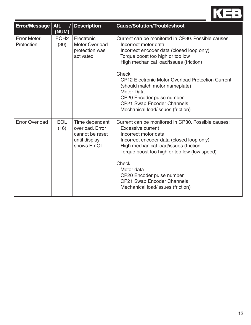

| Error/Message                    | Alt.<br>(NUM)            | <b>Description</b>                                                                   | <b>Cause/Solution/Troubleshoot</b>                                                                                                                                                                                                                                                                                                                                                                                                 |
|----------------------------------|--------------------------|--------------------------------------------------------------------------------------|------------------------------------------------------------------------------------------------------------------------------------------------------------------------------------------------------------------------------------------------------------------------------------------------------------------------------------------------------------------------------------------------------------------------------------|
| <b>Error Motor</b><br>Protection | EOH <sub>2</sub><br>(30) | Electronic<br><b>Motor Overload</b><br>protection was<br>activated                   | Current can be monitored in CP30. Possible causes:<br>Incorrect motor data<br>Incorrect encoder data (closed loop only)<br>Torque boost too high or too low<br>High mechanical load/issues (friction)<br>Check:<br><b>CP12 Electronic Motor Overload Protection Current</b><br>(should match motor nameplate)<br><b>Motor Data</b><br>CP20 Encoder pulse number<br>CP21 Swap Encoder Channels<br>Mechanical load/issues (friction) |
| <b>Error Overload</b>            | <b>EOL</b><br>(16)       | Time dependant<br>overload, Error<br>cannot be reset<br>until display<br>shows E.nOL | Current can be monitored in CP30. Possible causes:<br>Excessive current<br>Incorrect motor data<br>Incorrect encoder data (closed loop only)<br>High mechanical load/issues (friction<br>Torque boost too high or too low (low speed)<br>Check:<br>Motor data<br>CP20 Encoder pulse number<br><b>CP21 Swap Encoder Channels</b><br>Mechanical load/issues (friction)                                                               |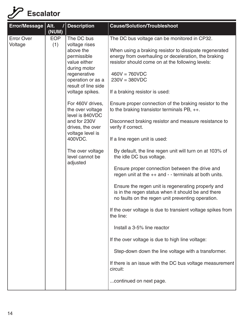| <b>Error/Message</b>         | Alt.<br>(NUM)     | <b>Description</b>                                                                                                                                                                                                                                                                                                                                      | <b>Cause/Solution/Troubleshoot</b>                                                                                                                                                                                                                                                                                                                                                                                                                                                                                                                                                                                                                                                                                                                                                                                                                                                                                                                                                                                                                                                                                                                                                                                    |
|------------------------------|-------------------|---------------------------------------------------------------------------------------------------------------------------------------------------------------------------------------------------------------------------------------------------------------------------------------------------------------------------------------------------------|-----------------------------------------------------------------------------------------------------------------------------------------------------------------------------------------------------------------------------------------------------------------------------------------------------------------------------------------------------------------------------------------------------------------------------------------------------------------------------------------------------------------------------------------------------------------------------------------------------------------------------------------------------------------------------------------------------------------------------------------------------------------------------------------------------------------------------------------------------------------------------------------------------------------------------------------------------------------------------------------------------------------------------------------------------------------------------------------------------------------------------------------------------------------------------------------------------------------------|
| <b>Error Over</b><br>Voltage | <b>EOP</b><br>(1) | The DC bus<br>voltage rises<br>above the<br>permissible<br>value either<br>during motor<br>regenerative<br>operation or as a<br>result of line side<br>voltage spikes.<br>For 460V drives,<br>the over voltage<br>level is 840VDC<br>and for 230V<br>drives, the over<br>voltage level is<br>400VDC.<br>The over voltage<br>level cannot be<br>adjusted | The DC bus voltage can be monitored in CP32.<br>When using a braking resistor to dissipate regenerated<br>energy from overhauling or deceleration, the braking<br>resistor should come on at the following levels:<br>$460V = 760VDC$<br>$230V = 380VDC$<br>If a braking resistor is used:<br>Ensure proper connection of the braking resistor to the<br>to the braking transistor terminals $PB, ++$ .<br>Disconnect braking resistor and measure resistance to<br>verify if correct.<br>If a line regen unit is used:<br>By default, the line regen unit will turn on at 103% of<br>the idle DC bus voltage.<br>Ensure proper connection between the drive and<br>regen unit at the $++$ and $-$ terminals at both units.<br>Ensure the regen unit is regenerating properly and<br>is in the regen status when it should be and there<br>no faults on the regen unit preventing operation.<br>If the over voltage is due to transient voltage spikes from<br>the line:<br>Install a 3-5% line reactor<br>If the over voltage is due to high line voltage:<br>Step-down down the line voltage with a transformer.<br>If there is an issue with the DC bus voltage measurement<br>circuit:<br>continued on next page. |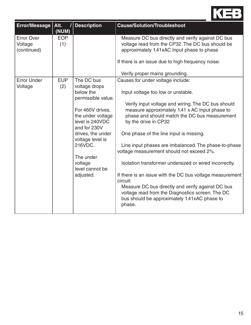

| <b>Error/Message</b>                        | Alt.<br>(NUM)     | / Description                                                                                                                                                                                                                                          | <b>Cause/Solution/Troubleshoot</b>                                                                                                                                                                                                                                                                                                                                                                                                                                                                                                                                                                                                                                                                            |
|---------------------------------------------|-------------------|--------------------------------------------------------------------------------------------------------------------------------------------------------------------------------------------------------------------------------------------------------|---------------------------------------------------------------------------------------------------------------------------------------------------------------------------------------------------------------------------------------------------------------------------------------------------------------------------------------------------------------------------------------------------------------------------------------------------------------------------------------------------------------------------------------------------------------------------------------------------------------------------------------------------------------------------------------------------------------|
| <b>Error Over</b><br>Voltage<br>(continued) | <b>EOP</b><br>(1) |                                                                                                                                                                                                                                                        | Measure DC bus directly and verify against DC bus<br>voltage read from the CP32. The DC bus should be<br>approximately 1.41xAC Input phase to phase<br>If there is an issue due to high frequency noise:<br>Verify proper mains grounding.                                                                                                                                                                                                                                                                                                                                                                                                                                                                    |
| <b>Error Under</b><br>Voltage               | <b>EUP</b><br>(2) | The DC bus<br>voltage drops<br>below the<br>permissible value.<br>For 460V drives,<br>the under voltage<br>level is 240VDC<br>and for 230V<br>drives, the under<br>voltage level is<br>216VDC.<br>The under<br>voltage<br>level cannot be<br>adjusted. | Causes for under voltage include:<br>Input voltage too low or unstable.<br>Verify input voltage and wiring. The DC bus should<br>measure approximately 1.41 x AC Input phase to<br>phase and should match the DC bus measurement<br>by the drive in CP32<br>One phase of the line input is missing.<br>Line input phases are imbalanced. The phase-to-phase<br>voltage measurement should not exceed 2%.<br>Isolation transformer undersized or wired incorrectly.<br>If there is an issue with the DC bus voltage measurement<br>circuit:<br>Measure DC bus directly and verify against DC bus<br>voltage read from the Diagnostics screen. The DC<br>bus should be approximately 1.41xAC phase to<br>phase. |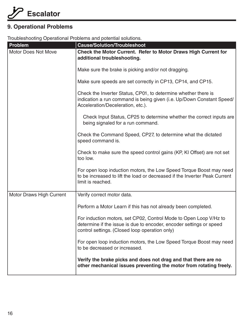#### **9. Operational Problems**

Troubleshooting Operational Problems and potential solutions.

| Problem                         | <b>Cause/Solution/Troubleshoot</b>                                                                                                                                                         |  |  |
|---------------------------------|--------------------------------------------------------------------------------------------------------------------------------------------------------------------------------------------|--|--|
| <b>Motor Does Not Move</b>      | <b>Check the Motor Current. Refer to Motor Draws High Current for</b><br>additional troubleshooting.                                                                                       |  |  |
|                                 | Make sure the brake is picking and/or not dragging.                                                                                                                                        |  |  |
|                                 | Make sure speeds are set correctly in CP13, CP14, and CP15.                                                                                                                                |  |  |
|                                 | Check the Inverter Status, CP01, to determine whether there is<br>indication a run command is being given (i.e. Up/Down Constant Speed/<br>Acceleration/Deceleration, etc.).               |  |  |
|                                 | Check Input Status, CP25 to determine whether the correct inputs are<br>being signaled for a run command.                                                                                  |  |  |
|                                 | Check the Command Speed, CP27, to determine what the dictated<br>speed command is.                                                                                                         |  |  |
|                                 | Check to make sure the speed control gains (KP, KI Offset) are not set<br>too low.                                                                                                         |  |  |
|                                 | For open loop induction motors, the Low Speed Torque Boost may need<br>to be increased to lift the load or decreased if the Inverter Peak Current<br>limit is reached.                     |  |  |
| <b>Motor Draws High Current</b> | Verify correct motor data.                                                                                                                                                                 |  |  |
|                                 | Perform a Motor Learn if this has not already been completed.                                                                                                                              |  |  |
|                                 | For induction motors, set CP02, Control Mode to Open Loop V/Hz to<br>determine if the issue is due to encoder, encoder settings or speed<br>control settings. (Closed loop operation only) |  |  |
|                                 | For open loop induction motors, the Low Speed Torque Boost may need<br>to be decreased or increased.                                                                                       |  |  |
|                                 | Verify the brake picks and does not drag and that there are no<br>other mechanical issues preventing the motor from rotating freely.                                                       |  |  |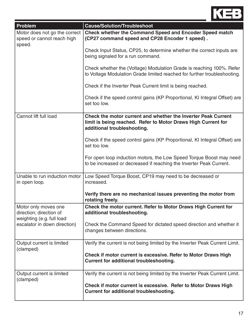

| <b>Problem</b>                                                               | <b>Cause/Solution/Troubleshoot</b>                                                                                                                            |  |  |  |
|------------------------------------------------------------------------------|---------------------------------------------------------------------------------------------------------------------------------------------------------------|--|--|--|
| Motor does not go the correct<br>speed or cannot reach high<br>speed.        | <b>Check whether the Command Speed and Encoder Speed match</b><br>(CP27 command speed and CP28 Encoder 1 speed).                                              |  |  |  |
|                                                                              | Check Input Status, CP25, to determine whether the correct inputs are<br>being signaled for a run command.                                                    |  |  |  |
|                                                                              | Check whether the (Voltage) Modulation Grade is reaching 100%. Refer<br>to Voltage Modulation Grade limited reached for further troubleshooting.              |  |  |  |
|                                                                              | Check if the Inverter Peak Current limit is being reached.                                                                                                    |  |  |  |
|                                                                              | Check if the speed control gains (KP Proportional, KI Integral Offset) are<br>set too low.                                                                    |  |  |  |
| Cannot lift full load                                                        | Check the motor current and whether the Inverter Peak Current<br>limit is being reached. Refer to Motor Draws High Current for<br>additional troubleshooting. |  |  |  |
|                                                                              | Check if the speed control gains (KP Proportional, KI Integral Offset) are<br>set too low.                                                                    |  |  |  |
|                                                                              | For open loop induction motors, the Low Speed Torque Boost may need<br>to be increased or decreased if reaching the Inverter Peak Current.                    |  |  |  |
| Unable to run induction motor<br>in open loop.                               | Low Speed Torque Boost, CP19 may need to be decreased or<br>increased.                                                                                        |  |  |  |
|                                                                              | Verify there are no mechanical issues preventing the motor from<br>rotating freely.                                                                           |  |  |  |
| Motor only moves one<br>direction; direction of<br>weighting (e.g. full load | Check the motor current. Refer to Motor Draws High Current for<br>additional troubleshooting.                                                                 |  |  |  |
| escalator in down direction)                                                 | Check the Command Speed for dictated speed direction and whether it<br>changes between directions.                                                            |  |  |  |
| Output current is limited<br>(clamped)                                       | Verify the current is not being limited by the Inverter Peak Current Limit.                                                                                   |  |  |  |
|                                                                              | Check if motor current is excessive. Refer to Motor Draws High<br><b>Current for additional troubleshooting.</b>                                              |  |  |  |
| Output current is limited<br>(clamped)                                       | Verify the current is not being limited by the Inverter Peak Current Limit.                                                                                   |  |  |  |
|                                                                              | Check if motor current is excessive. Refer to Motor Draws High<br><b>Current for additional troubleshooting.</b>                                              |  |  |  |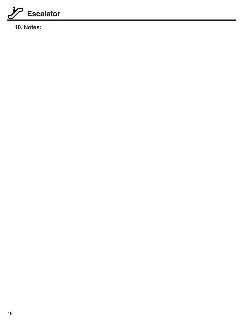

**10. Notes:**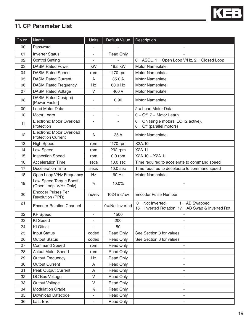

#### **11. CP Parameter List**

| Cp.xx | <b>Name</b>                                                   | <b>Units</b>             | Default Value            | Description                                                                                         |
|-------|---------------------------------------------------------------|--------------------------|--------------------------|-----------------------------------------------------------------------------------------------------|
| 00    | Password                                                      |                          |                          |                                                                                                     |
| 01    | <b>Inverter Status</b>                                        | $\overline{\phantom{a}}$ | <b>Read Only</b>         |                                                                                                     |
| 02    | <b>Control Setting</b>                                        |                          |                          | $0 = ASCII$ , 1 = Open Loop V/Hz, 2 = Closed Loop                                                   |
| 03    | <b>DASM Rated Power</b>                                       | kW                       | 18.5 kW                  | Motor Nameplate                                                                                     |
| 04    | <b>DASM Rated Speed</b>                                       | rpm                      | 1170 rpm                 | Motor Nameplate                                                                                     |
| 05    | <b>DASM Rated Current</b>                                     | A                        | 35.0 A                   | Motor Nameplate                                                                                     |
| 06    | <b>DASM Rated Frequency</b>                                   |                          | 60.0 Hz                  | Motor Nameplate                                                                                     |
| 07    | <b>DASM Rated Voltage</b>                                     |                          | 460 V                    | Motor Nameplate                                                                                     |
| 08    | DASM Rated Cos(phi)<br>[Power Factor]                         |                          | 0.90                     | Motor Nameplate                                                                                     |
| 09    | Load Motor Data                                               | $\overline{\phantom{a}}$ | $\overline{\phantom{a}}$ | $2 =$ Load Motor Data                                                                               |
| 10    | Motor Learn                                                   |                          | ä,                       | $0 = \text{Off}, 7 = \text{Motor Learn}$                                                            |
| 11    | <b>Electronic Motor Overload</b><br>Protection                |                          | $\blacksquare$           | $0 = On$ (single motors; EOH2 active),<br>$6 = \text{Off}$ (parallel motors)                        |
| 12    | <b>Electronic Motor Overload</b><br><b>Protection Current</b> | A                        | 35 A                     | Motor Nameplate                                                                                     |
| 13    | <b>High Speed</b>                                             | rpm                      | 1170 rpm                 | X2A.10                                                                                              |
| 14    | Low Speed                                                     | rpm                      | 292 rpm                  | X2A.11                                                                                              |
| 15    | <b>Inspection Speed</b>                                       | rpm                      | $0.0$ rpm                | X2A.10 + X2A.11                                                                                     |
| 16    | <b>Acceleration Time</b>                                      | secs                     | 10.0 <sub>sec</sub>      | Time required to accelerate to command speed                                                        |
| 17    | <b>Deceleration Time</b>                                      | secs                     | 10.0 <sub>sec</sub>      | Time required to decelerate to command speed                                                        |
| 18    | Open Loop V/Hz Frequency                                      | Hz                       | 60 Hz                    | Motor Nameplate                                                                                     |
| 19    | Low Speed Torque Boost<br>(Open Loop, V/Hz Only)              | $\%$                     | 10.0%                    |                                                                                                     |
| 20    | <b>Encoder Pulses Per</b><br>Revolution (PPR)                 | inc/rev                  | 1024 inc/rev             | Encoder Pulse Number                                                                                |
| 21    | <b>Encoder Rotation Channel</b>                               |                          | $0 = Not Inverted$       | $0 = Not Inverted,$<br>$1 = AB$ Swapped<br>$16$ = Inverted Rotation, $17$ = AB Swap & Inverted Rot. |
| 22    | <b>KP</b> Speed                                               | $\blacksquare$           | 1500                     |                                                                                                     |
| 23    | KI Speed                                                      |                          | 200                      |                                                                                                     |
| 24    | KI Offset                                                     | ÷.                       | 50                       |                                                                                                     |
| 25    | <b>Input Status</b>                                           | coded                    | <b>Read Only</b>         | See Section 3 for values                                                                            |
| 26    | <b>Output Status</b>                                          | coded                    | <b>Read Only</b>         | See Section 3 for values                                                                            |
| 27    | <b>Command Speed</b>                                          | rpm                      | <b>Read Only</b>         |                                                                                                     |
| 28    | <b>Actual Motor Speed</b>                                     | rpm                      | Read Only                |                                                                                                     |
| 29    | <b>Output Frequency</b>                                       | Hz                       | Read Only                |                                                                                                     |
| 30    | <b>Output Current</b>                                         | A                        | <b>Read Only</b>         |                                                                                                     |
| 31    | Peak Output Current                                           | A                        | Read Only                |                                                                                                     |
| 32    | DC Bus Voltage                                                | $\mathsf{V}$             | <b>Read Only</b>         | $\overline{\phantom{0}}$                                                                            |
| 33    | <b>Output Voltage</b>                                         | $\vee$                   | Read Only                | $\overline{\phantom{0}}$                                                                            |
| 34    | <b>Modulation Grade</b>                                       | $\%$                     | <b>Read Only</b>         |                                                                                                     |
| 35    | <b>Download Datecode</b>                                      | $\overline{\phantom{a}}$ | Read Only                | $\overline{\phantom{a}}$                                                                            |
| 36    | Last Error                                                    | ٠                        | <b>Read Only</b>         |                                                                                                     |